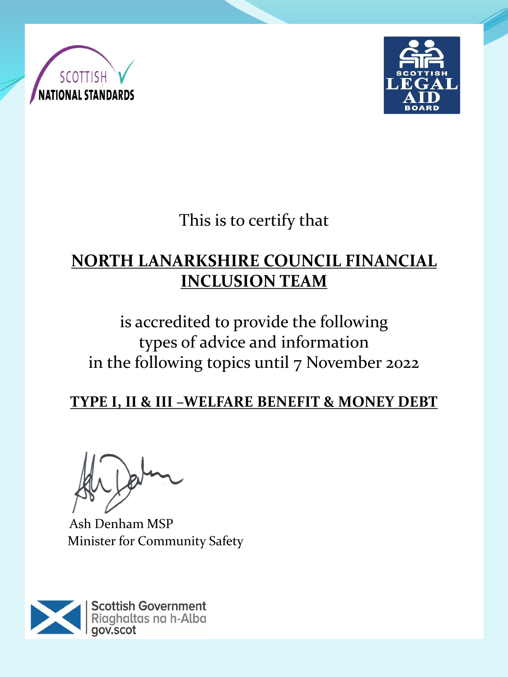



This is to certify that

# **NORTH LANARKSHIRE COUNCIL FINANCIAL INCLUSION TEAM**

is accredited to provide the following types of advice and information in the following topics until 7 November 2022

**TYPE I, II & III –WELFARE BENEFIT & MONEY DEBT**

Ash Denham MSP Minister for Community Safety

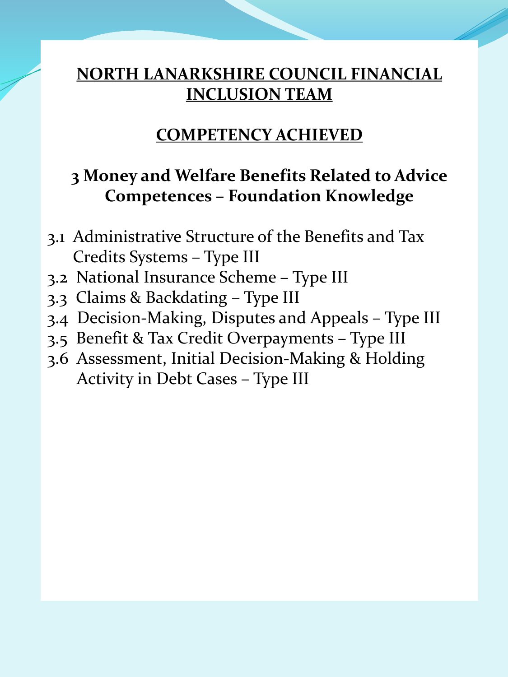#### **COMPETENCY ACHIEVED**

#### **3 Money and Welfare Benefits Related to Advice Competences – Foundation Knowledge**

- 3.1 Administrative Structure of the Benefits and Tax Credits Systems – Type III
- 3.2 National Insurance Scheme Type III
- 3.3 Claims & Backdating Type III
- 3.4 Decision-Making, Disputes and Appeals Type III
- 3.5 Benefit & Tax Credit Overpayments Type III
- 3.6 Assessment, Initial Decision-Making & Holding Activity in Debt Cases – Type III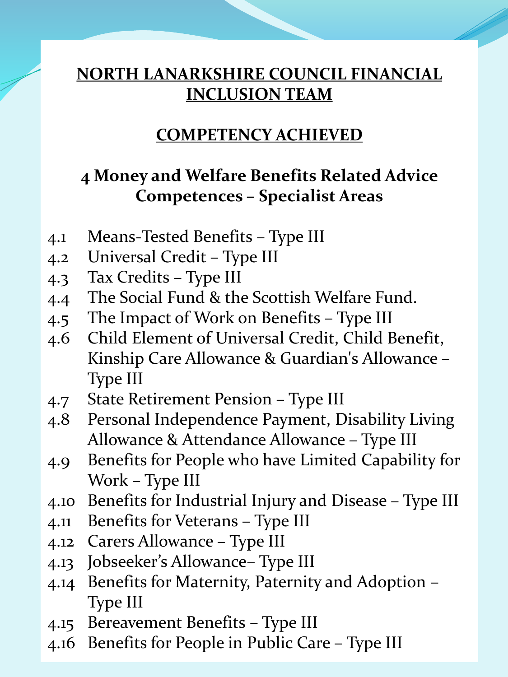#### **COMPETENCY ACHIEVED**

### **4 Money and Welfare Benefits Related Advice Competences – Specialist Areas**

- 4.1 Means-Tested Benefits Type III
- 4.2 Universal Credit Type III
- 4.3 Tax Credits Type III
- 4.4 The Social Fund & the Scottish Welfare Fund.
- 4.5 The Impact of Work on Benefits Type III
- 4.6 Child Element of Universal Credit, Child Benefit, Kinship Care Allowance & Guardian's Allowance – Type III
- 4.7 State Retirement Pension Type III
- 4.8 Personal Independence Payment, Disability Living Allowance & Attendance Allowance – Type III
- 4.9 Benefits for People who have Limited Capability for Work – Type III
- 4.10 Benefits for Industrial Injury and Disease Type III
- 4.11 Benefits for Veterans Type III
- 4.12 Carers Allowance Type III
- 4.13 Jobseeker's Allowance– Type III
- 4.14 Benefits for Maternity, Paternity and Adoption Type III
- 4.15 Bereavement Benefits Type III
- 4.16 Benefits for People in Public Care Type III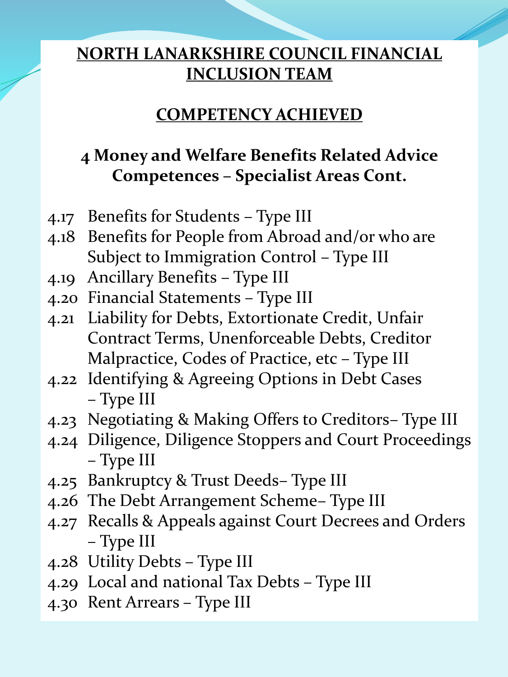#### **COMPETENCY ACHIEVED**

# **4 Money and Welfare Benefits Related Advice Competences – Specialist Areas Cont.**

- 4.17 Benefits for Students Type III
- 4.18 Benefits for People from Abroad and/or who are Subject to Immigration Control – Type III
- 4.19 Ancillary Benefits Type III
- 4.20 Financial Statements Type III
- 4.21 Liability for Debts, Extortionate Credit, Unfair Contract Terms, Unenforceable Debts, Creditor Malpractice, Codes of Practice, etc – Type III
- 4.22 Identifying & Agreeing Options in Debt Cases – Type III
- 4.23 Negotiating & Making Offers to Creditors– Type III
- 4.24 Diligence, Diligence Stoppers and Court Proceedings – Type III
- 4.25 Bankruptcy & Trust Deeds– Type III
- 4.26 The Debt Arrangement Scheme– Type III
- 4.27 Recalls & Appeals against Court Decrees and Orders – Type III
- 4.28 Utility Debts Type III
- 4.29 Local and national Tax Debts Type III
- 4.30 Rent Arrears Type III